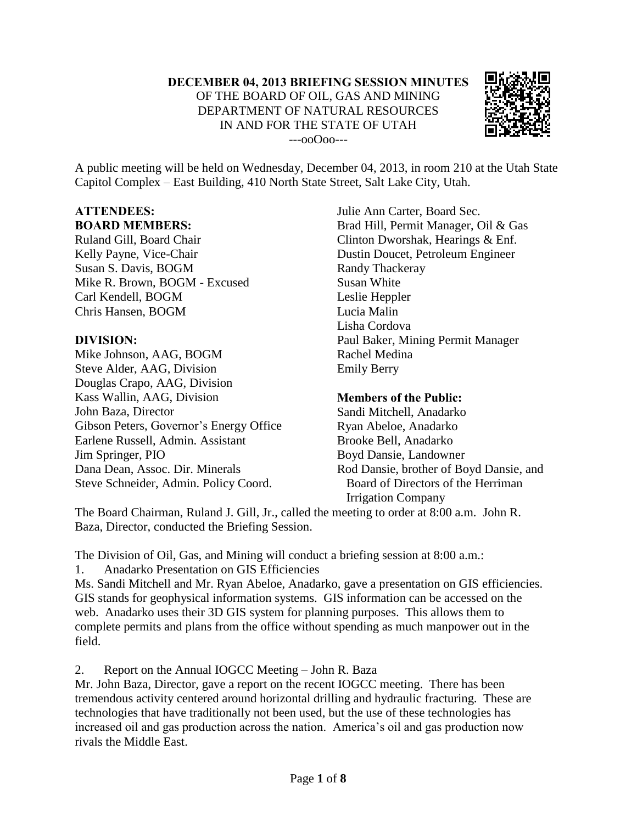

A public meeting will be held on Wednesday, December 04, 2013, in room 210 at the Utah State Capitol Complex – East Building, 410 North State Street, Salt Lake City, Utah.

## **ATTENDEES: BOARD MEMBERS:**

Ruland Gill, Board Chair Kelly Payne, Vice-Chair Susan S. Davis, BOGM Mike R. Brown, BOGM - Excused Carl Kendell, BOGM Chris Hansen, BOGM

## **DIVISION:**

Mike Johnson, AAG, BOGM Steve Alder, AAG, Division Douglas Crapo, AAG, Division Kass Wallin, AAG, Division John Baza, Director Gibson Peters, Governor's Energy Office Earlene Russell, Admin. Assistant Jim Springer, PIO Dana Dean, Assoc. Dir. Minerals Steve Schneider, Admin. Policy Coord.

Julie Ann Carter, Board Sec. Brad Hill, Permit Manager, Oil & Gas Clinton Dworshak, Hearings & Enf. Dustin Doucet, Petroleum Engineer Randy Thackeray Susan White Leslie Heppler Lucia Malin Lisha Cordova Paul Baker, Mining Permit Manager Rachel Medina Emily Berry

## **Members of the Public:**

Sandi Mitchell, Anadarko Ryan Abeloe, Anadarko Brooke Bell, Anadarko Boyd Dansie, Landowner Rod Dansie, brother of Boyd Dansie, and Board of Directors of the Herriman Irrigation Company

The Board Chairman, Ruland J. Gill, Jr., called the meeting to order at 8:00 a.m. John R. Baza, Director, conducted the Briefing Session.

The Division of Oil, Gas, and Mining will conduct a briefing session at 8:00 a.m.:

1. Anadarko Presentation on GIS Efficiencies

Ms. Sandi Mitchell and Mr. Ryan Abeloe, Anadarko, gave a presentation on GIS efficiencies. GIS stands for geophysical information systems. GIS information can be accessed on the web. Anadarko uses their 3D GIS system for planning purposes. This allows them to complete permits and plans from the office without spending as much manpower out in the field.

2. Report on the Annual IOGCC Meeting – John R. Baza

Mr. John Baza, Director, gave a report on the recent IOGCC meeting. There has been tremendous activity centered around horizontal drilling and hydraulic fracturing. These are technologies that have traditionally not been used, but the use of these technologies has increased oil and gas production across the nation. America's oil and gas production now rivals the Middle East.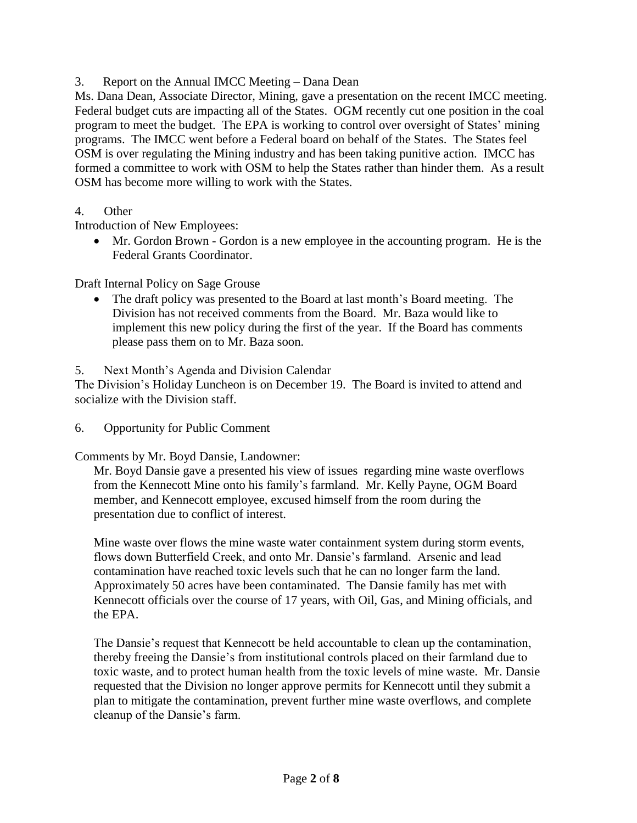3. Report on the Annual IMCC Meeting – Dana Dean

Ms. Dana Dean, Associate Director, Mining, gave a presentation on the recent IMCC meeting. Federal budget cuts are impacting all of the States. OGM recently cut one position in the coal program to meet the budget. The EPA is working to control over oversight of States' mining programs. The IMCC went before a Federal board on behalf of the States. The States feel OSM is over regulating the Mining industry and has been taking punitive action. IMCC has formed a committee to work with OSM to help the States rather than hinder them. As a result OSM has become more willing to work with the States.

4. Other

Introduction of New Employees:

 Mr. Gordon Brown - Gordon is a new employee in the accounting program. He is the Federal Grants Coordinator.

Draft Internal Policy on Sage Grouse

 The draft policy was presented to the Board at last month's Board meeting. The Division has not received comments from the Board. Mr. Baza would like to implement this new policy during the first of the year. If the Board has comments please pass them on to Mr. Baza soon.

5. Next Month's Agenda and Division Calendar

The Division's Holiday Luncheon is on December 19. The Board is invited to attend and socialize with the Division staff.

6. Opportunity for Public Comment

Comments by Mr. Boyd Dansie, Landowner:

Mr. Boyd Dansie gave a presented his view of issues regarding mine waste overflows from the Kennecott Mine onto his family's farmland. Mr. Kelly Payne, OGM Board member, and Kennecott employee, excused himself from the room during the presentation due to conflict of interest.

Mine waste over flows the mine waste water containment system during storm events, flows down Butterfield Creek, and onto Mr. Dansie's farmland. Arsenic and lead contamination have reached toxic levels such that he can no longer farm the land. Approximately 50 acres have been contaminated. The Dansie family has met with Kennecott officials over the course of 17 years, with Oil, Gas, and Mining officials, and the EPA.

The Dansie's request that Kennecott be held accountable to clean up the contamination, thereby freeing the Dansie's from institutional controls placed on their farmland due to toxic waste, and to protect human health from the toxic levels of mine waste. Mr. Dansie requested that the Division no longer approve permits for Kennecott until they submit a plan to mitigate the contamination, prevent further mine waste overflows, and complete cleanup of the Dansie's farm.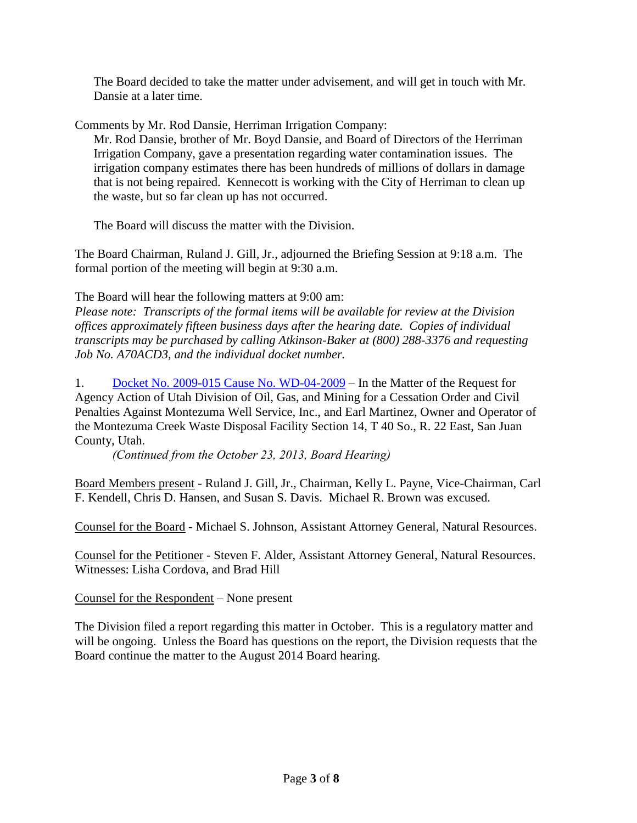The Board decided to take the matter under advisement, and will get in touch with Mr. Dansie at a later time.

Comments by Mr. Rod Dansie, Herriman Irrigation Company:

Mr. Rod Dansie, brother of Mr. Boyd Dansie, and Board of Directors of the Herriman Irrigation Company, gave a presentation regarding water contamination issues. The irrigation company estimates there has been hundreds of millions of dollars in damage that is not being repaired. Kennecott is working with the City of Herriman to clean up the waste, but so far clean up has not occurred.

The Board will discuss the matter with the Division.

The Board Chairman, Ruland J. Gill, Jr., adjourned the Briefing Session at 9:18 a.m. The formal portion of the meeting will begin at 9:30 a.m.

The Board will hear the following matters at 9:00 am:

*Please note: Transcripts of the formal items will be available for review at the Division offices approximately fifteen business days after the hearing date. Copies of individual transcripts may be purchased by calling Atkinson-Baker at (800) 288-3376 and requesting Job No. A70ACD3, and the individual docket number.*

1. [Docket No. 2009-015 Cause No. WD-04-2009](http://ogm.utah.gov/amr/boardtemp/redesign/Dockets/2013/12-Dec/dec2013_2009-015_WD-04-2009_Montezuma.html) – In the Matter of the Request for Agency Action of Utah Division of Oil, Gas, and Mining for a Cessation Order and Civil Penalties Against Montezuma Well Service, Inc., and Earl Martinez, Owner and Operator of the Montezuma Creek Waste Disposal Facility Section 14, T 40 So., R. 22 East, San Juan County, Utah.

*(Continued from the October 23, 2013, Board Hearing)*

Board Members present - Ruland J. Gill, Jr., Chairman, Kelly L. Payne, Vice-Chairman, Carl F. Kendell, Chris D. Hansen, and Susan S. Davis. Michael R. Brown was excused.

Counsel for the Board - Michael S. Johnson, Assistant Attorney General, Natural Resources.

Counsel for the Petitioner - Steven F. Alder, Assistant Attorney General, Natural Resources. Witnesses: Lisha Cordova, and Brad Hill

Counsel for the Respondent – None present

The Division filed a report regarding this matter in October. This is a regulatory matter and will be ongoing. Unless the Board has questions on the report, the Division requests that the Board continue the matter to the August 2014 Board hearing.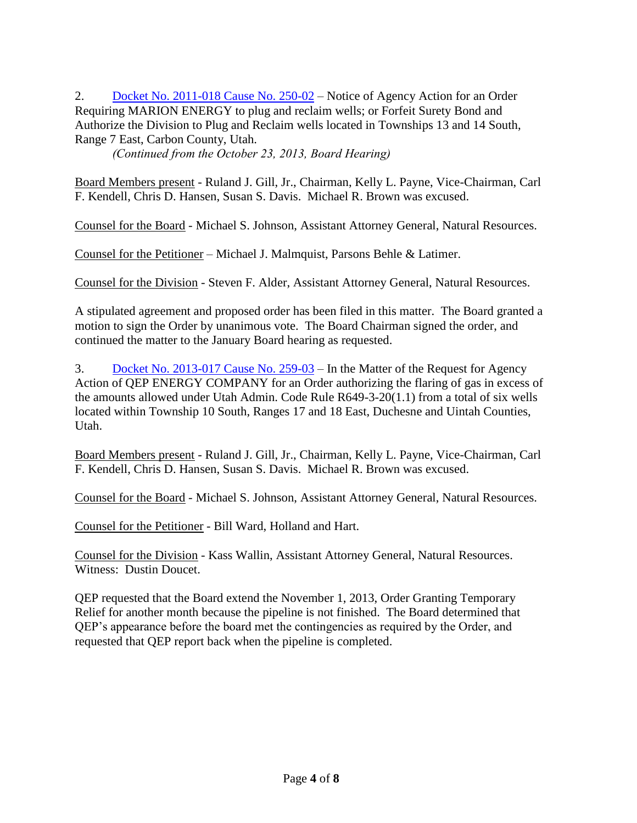2. [Docket No. 2011-018 Cause No. 250-02](http://ogm.utah.gov/amr/boardtemp/redesign/Dockets/2013/12-Dec/dec2013_2011-018_250-02_MarionEnergy.html) – Notice of Agency Action for an Order Requiring MARION ENERGY to plug and reclaim wells; or Forfeit Surety Bond and Authorize the Division to Plug and Reclaim wells located in Townships 13 and 14 South, Range 7 East, Carbon County, Utah.

*(Continued from the October 23, 2013, Board Hearing)*

Board Members present - Ruland J. Gill, Jr., Chairman, Kelly L. Payne, Vice-Chairman, Carl F. Kendell, Chris D. Hansen, Susan S. Davis. Michael R. Brown was excused.

Counsel for the Board - Michael S. Johnson, Assistant Attorney General, Natural Resources.

Counsel for the Petitioner – Michael J. Malmquist, Parsons Behle & Latimer.

Counsel for the Division - Steven F. Alder, Assistant Attorney General, Natural Resources.

A stipulated agreement and proposed order has been filed in this matter. The Board granted a motion to sign the Order by unanimous vote. The Board Chairman signed the order, and continued the matter to the January Board hearing as requested.

3. [Docket No. 2013-017 Cause No. 259-03](http://ogm.utah.gov/amr/boardtemp/redesign/Dockets/2013/12-Dec/dec2013_2013-017_259-03_QEP.html) – In the Matter of the Request for Agency Action of QEP ENERGY COMPANY for an Order authorizing the flaring of gas in excess of the amounts allowed under Utah Admin. Code Rule R649-3-20(1.1) from a total of six wells located within Township 10 South, Ranges 17 and 18 East, Duchesne and Uintah Counties, Utah.

Board Members present - Ruland J. Gill, Jr., Chairman, Kelly L. Payne, Vice-Chairman, Carl F. Kendell, Chris D. Hansen, Susan S. Davis. Michael R. Brown was excused.

Counsel for the Board - Michael S. Johnson, Assistant Attorney General, Natural Resources.

Counsel for the Petitioner - Bill Ward, Holland and Hart.

Counsel for the Division - Kass Wallin, Assistant Attorney General, Natural Resources. Witness: Dustin Doucet.

QEP requested that the Board extend the November 1, 2013, Order Granting Temporary Relief for another month because the pipeline is not finished. The Board determined that QEP's appearance before the board met the contingencies as required by the Order, and requested that QEP report back when the pipeline is completed.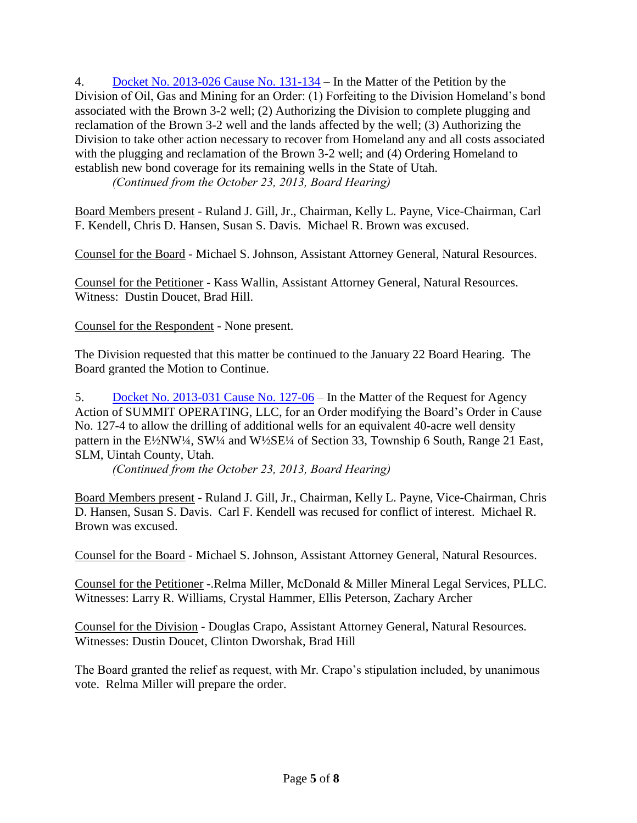4. [Docket No. 2013-026 Cause No. 131-134](http://ogm.utah.gov/amr/boardtemp/redesign/Dockets/2013/12-Dec/dec2013_2013-026_131-134_Homeland.html) – In the Matter of the Petition by the Division of Oil, Gas and Mining for an Order: (1) Forfeiting to the Division Homeland's bond associated with the Brown 3-2 well; (2) Authorizing the Division to complete plugging and reclamation of the Brown 3-2 well and the lands affected by the well; (3) Authorizing the Division to take other action necessary to recover from Homeland any and all costs associated with the plugging and reclamation of the Brown 3-2 well; and (4) Ordering Homeland to establish new bond coverage for its remaining wells in the State of Utah.

*(Continued from the October 23, 2013, Board Hearing)*

Board Members present - Ruland J. Gill, Jr., Chairman, Kelly L. Payne, Vice-Chairman, Carl F. Kendell, Chris D. Hansen, Susan S. Davis. Michael R. Brown was excused.

Counsel for the Board - Michael S. Johnson, Assistant Attorney General, Natural Resources.

Counsel for the Petitioner - Kass Wallin, Assistant Attorney General, Natural Resources. Witness: Dustin Doucet, Brad Hill.

Counsel for the Respondent - None present.

The Division requested that this matter be continued to the January 22 Board Hearing. The Board granted the Motion to Continue.

5. [Docket No. 2013-031 Cause No. 127-06](http://ogm.utah.gov/amr/boardtemp/redesign/Dockets/2013/12-Dec/dec2013_2013-031_127-06_Summit.html) – In the Matter of the Request for Agency Action of SUMMIT OPERATING, LLC, for an Order modifying the Board's Order in Cause No. 127-4 to allow the drilling of additional wells for an equivalent 40-acre well density pattern in the E½NW¼, SW¼ and W½SE¼ of Section 33, Township 6 South, Range 21 East, SLM, Uintah County, Utah.

*(Continued from the October 23, 2013, Board Hearing)*

Board Members present - Ruland J. Gill, Jr., Chairman, Kelly L. Payne, Vice-Chairman, Chris D. Hansen, Susan S. Davis. Carl F. Kendell was recused for conflict of interest. Michael R. Brown was excused.

Counsel for the Board - Michael S. Johnson, Assistant Attorney General, Natural Resources.

Counsel for the Petitioner -.Relma Miller, McDonald & Miller Mineral Legal Services, PLLC. Witnesses: Larry R. Williams, Crystal Hammer, Ellis Peterson, Zachary Archer

Counsel for the Division - Douglas Crapo, Assistant Attorney General, Natural Resources. Witnesses: Dustin Doucet, Clinton Dworshak, Brad Hill

The Board granted the relief as request, with Mr. Crapo's stipulation included, by unanimous vote. Relma Miller will prepare the order.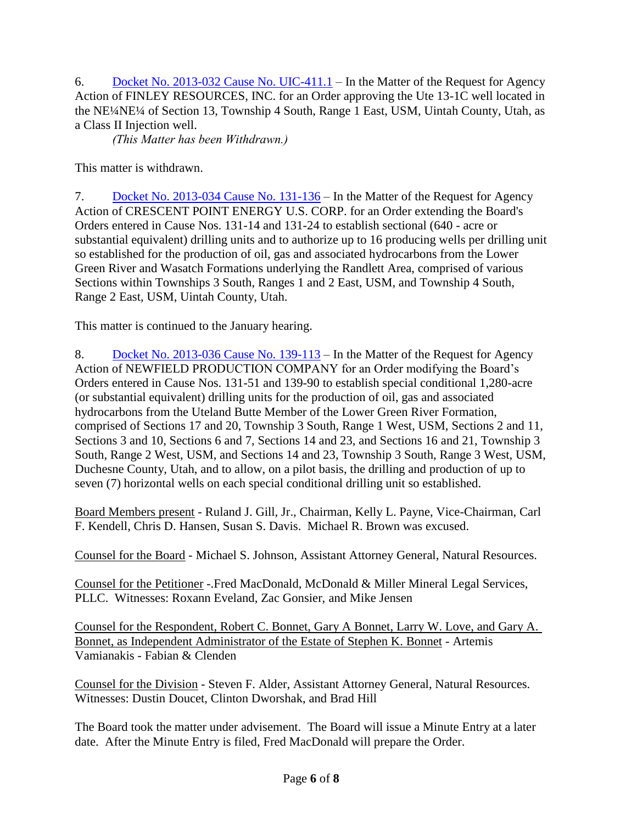6. [Docket No. 2013-032 Cause No. UIC-411.1](http://ogm.utah.gov/amr/boardtemp/redesign/Dockets/2013/12-Dec/dec2013_2013-032_UIC-411.1_Finley.html) – In the Matter of the Request for Agency Action of FINLEY RESOURCES, INC. for an Order approving the Ute 13-1C well located in the NE¼NE¼ of Section 13, Township 4 South, Range 1 East, USM, Uintah County, Utah, as a Class II Injection well.

*(This Matter has been Withdrawn.)*

This matter is withdrawn.

7. [Docket No. 2013-034 Cause No. 131-136](http://ogm.utah.gov/amr/boardtemp/redesign/Dockets/2013/12-Dec/dec2013_2013-034_131-136_Crescent.html) – In the Matter of the Request for Agency Action of CRESCENT POINT ENERGY U.S. CORP. for an Order extending the Board's Orders entered in Cause Nos. 131-14 and 131-24 to establish sectional (640 - acre or substantial equivalent) drilling units and to authorize up to 16 producing wells per drilling unit so established for the production of oil, gas and associated hydrocarbons from the Lower Green River and Wasatch Formations underlying the Randlett Area, comprised of various Sections within Townships 3 South, Ranges 1 and 2 East, USM, and Township 4 South, Range 2 East, USM, Uintah County, Utah.

This matter is continued to the January hearing.

8. [Docket No. 2013-036 Cause No. 139-113](http://ogm.utah.gov/amr/boardtemp/redesign/Dockets/2013/12-Dec/dec2013_2013-036_139-113_Newfield.html) – In the Matter of the Request for Agency Action of NEWFIELD PRODUCTION COMPANY for an Order modifying the Board's Orders entered in Cause Nos. 131-51 and 139-90 to establish special conditional 1,280-acre (or substantial equivalent) drilling units for the production of oil, gas and associated hydrocarbons from the Uteland Butte Member of the Lower Green River Formation, comprised of Sections 17 and 20, Township 3 South, Range 1 West, USM, Sections 2 and 11, Sections 3 and 10, Sections 6 and 7, Sections 14 and 23, and Sections 16 and 21, Township 3 South, Range 2 West, USM, and Sections 14 and 23, Township 3 South, Range 3 West, USM, Duchesne County, Utah, and to allow, on a pilot basis, the drilling and production of up to seven (7) horizontal wells on each special conditional drilling unit so established.

Board Members present - Ruland J. Gill, Jr., Chairman, Kelly L. Payne, Vice-Chairman, Carl F. Kendell, Chris D. Hansen, Susan S. Davis. Michael R. Brown was excused.

Counsel for the Board - Michael S. Johnson, Assistant Attorney General, Natural Resources.

Counsel for the Petitioner -.Fred MacDonald, McDonald & Miller Mineral Legal Services, PLLC. Witnesses: Roxann Eveland, Zac Gonsier, and Mike Jensen

Counsel for the Respondent, Robert C. Bonnet, Gary A Bonnet, Larry W. Love, and Gary A. Bonnet, as Independent Administrator of the Estate of Stephen K. Bonnet - Artemis Vamianakis - Fabian & Clenden

Counsel for the Division - Steven F. Alder, Assistant Attorney General, Natural Resources. Witnesses: Dustin Doucet, Clinton Dworshak, and Brad Hill

The Board took the matter under advisement. The Board will issue a Minute Entry at a later date. After the Minute Entry is filed, Fred MacDonald will prepare the Order.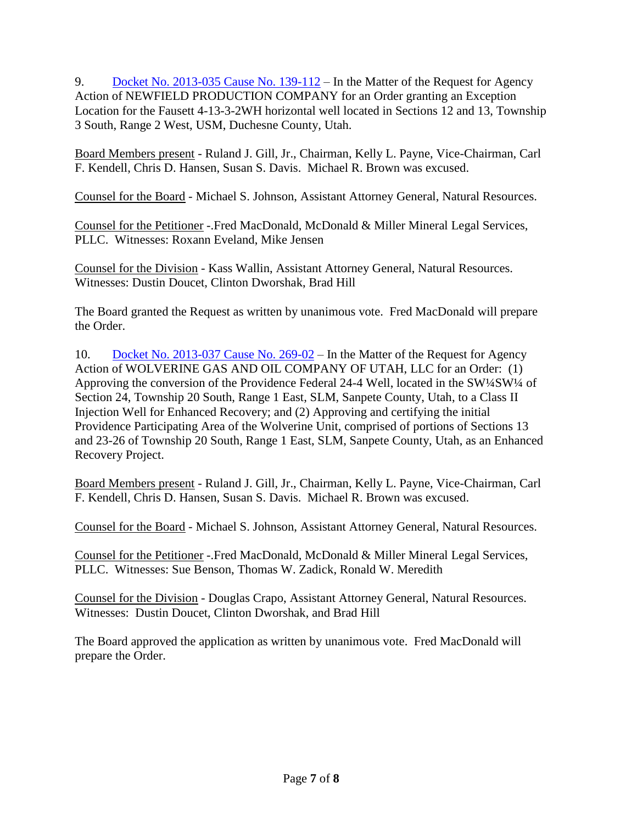9. [Docket No. 2013-035 Cause No. 139-112](http://ogm.utah.gov/amr/boardtemp/redesign/Dockets/2013/12-Dec/dec2013_2013-035_139-112_Newfield.html) – In the Matter of the Request for Agency Action of NEWFIELD PRODUCTION COMPANY for an Order granting an Exception Location for the Fausett 4-13-3-2WH horizontal well located in Sections 12 and 13, Township 3 South, Range 2 West, USM, Duchesne County, Utah.

Board Members present - Ruland J. Gill, Jr., Chairman, Kelly L. Payne, Vice-Chairman, Carl F. Kendell, Chris D. Hansen, Susan S. Davis. Michael R. Brown was excused.

Counsel for the Board - Michael S. Johnson, Assistant Attorney General, Natural Resources.

Counsel for the Petitioner -.Fred MacDonald, McDonald & Miller Mineral Legal Services, PLLC. Witnesses: Roxann Eveland, Mike Jensen

Counsel for the Division - Kass Wallin, Assistant Attorney General, Natural Resources. Witnesses: Dustin Doucet, Clinton Dworshak, Brad Hill

The Board granted the Request as written by unanimous vote. Fred MacDonald will prepare the Order.

10. [Docket No. 2013-037 Cause No. 269-02](http://ogm.utah.gov/amr/boardtemp/redesign/Dockets/2013/12-Dec/dec2013_2013-037_269-02_Wolverine.html) – In the Matter of the Request for Agency Action of WOLVERINE GAS AND OIL COMPANY OF UTAH, LLC for an Order: (1) Approving the conversion of the Providence Federal 24-4 Well, located in the SW¼SW¼ of Section 24, Township 20 South, Range 1 East, SLM, Sanpete County, Utah, to a Class II Injection Well for Enhanced Recovery; and (2) Approving and certifying the initial Providence Participating Area of the Wolverine Unit, comprised of portions of Sections 13 and 23-26 of Township 20 South, Range 1 East, SLM, Sanpete County, Utah, as an Enhanced Recovery Project.

Board Members present - Ruland J. Gill, Jr., Chairman, Kelly L. Payne, Vice-Chairman, Carl F. Kendell, Chris D. Hansen, Susan S. Davis. Michael R. Brown was excused.

Counsel for the Board - Michael S. Johnson, Assistant Attorney General, Natural Resources.

Counsel for the Petitioner -.Fred MacDonald, McDonald & Miller Mineral Legal Services, PLLC. Witnesses: Sue Benson, Thomas W. Zadick, Ronald W. Meredith

Counsel for the Division - Douglas Crapo, Assistant Attorney General, Natural Resources. Witnesses: Dustin Doucet, Clinton Dworshak, and Brad Hill

The Board approved the application as written by unanimous vote. Fred MacDonald will prepare the Order.